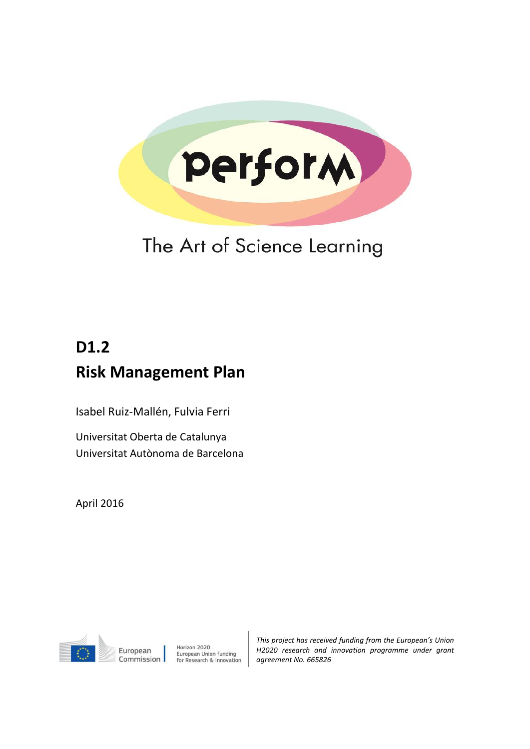

## The Art of Science Learning

# **D1.2 Risk Management Plan**

Isabel Ruiz-Mallén, Fulvia Ferri

Universitat Oberta de Catalunya Universitat Autònoma de Barcelona

April 2016



Horizon 2020 European Union funding<br>for Research & Innovation *This project has received funding from the European's Union H2020 research and innovation programme under grant agreement No. 665826*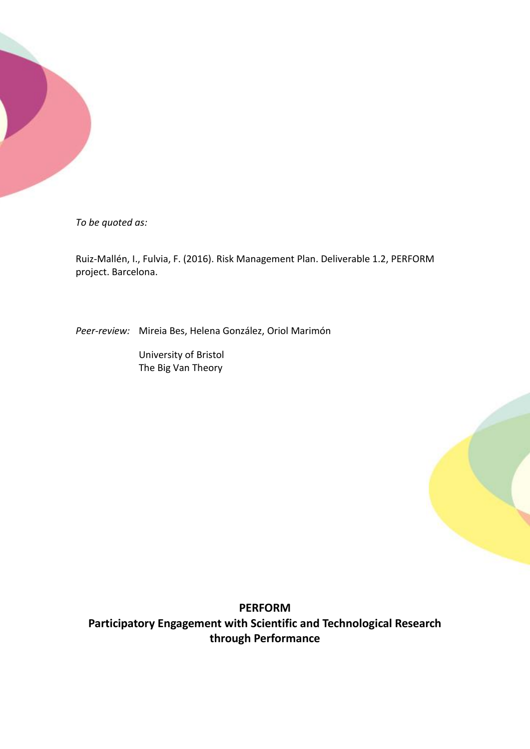

*To be quoted as:*

Ruiz-Mallén, I., Fulvia, F. (2016). Risk Management Plan. Deliverable 1.2, PERFORM project. Barcelona.

*Peer-review:* Mireia Bes, Helena González, Oriol Marimón

University of Bristol The Big Van Theory

**PERFORM Participatory Engagement with Scientific and Technological Research through Performance**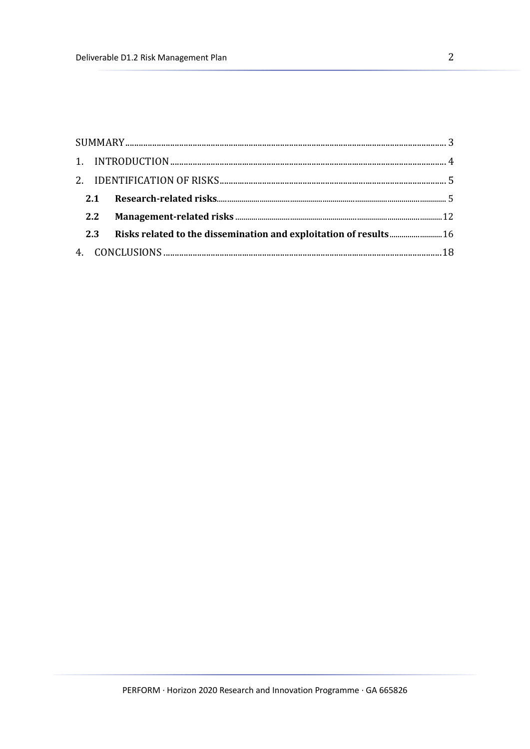|  | 2.3 Risks related to the dissemination and exploitation of results 16 |  |  |  |  |  |
|--|-----------------------------------------------------------------------|--|--|--|--|--|
|  |                                                                       |  |  |  |  |  |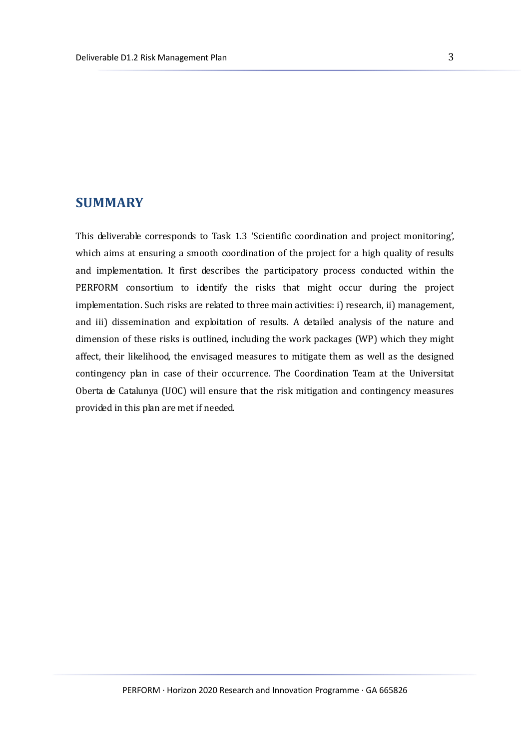## <span id="page-3-0"></span>**SUMMARY**

This deliverable corresponds to Task 1.3 'Scientific coordination and project monitoring', which aims at ensuring a smooth coordination of the project for a high quality of results and implementation. It first describes the participatory process conducted within the PERFORM consortium to identify the risks that might occur during the project implementation. Such risks are related to three main activities: i) research, ii) management, and iii) dissemination and exploitation of results. A detailed analysis of the nature and dimension of these risks is outlined, including the work packages (WP) which they might affect, their likelihood, the envisaged measures to mitigate them as well as the designed contingency plan in case of their occurrence. The Coordination Team at the Universitat Oberta de Catalunya (UOC) will ensure that the risk mitigation and contingency measures provided in this plan are met if needed.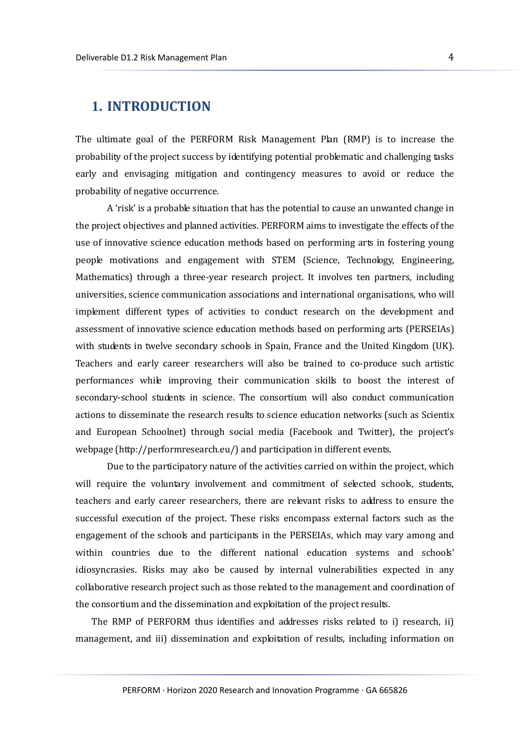### <span id="page-4-0"></span>**1. INTRODUCTION**

The ultimate goal of the PERFORM Risk Management Plan (RMP) is to increase the probability of the project success by identifying potential problematic and challenging tasks early and envisaging mitigation and contingency measures to avoid or reduce the probability of negative occurrence.

A 'risk' is a probable situation that has the potential to cause an unwanted change in the project objectives and planned activities. PERFORM aims to investigate the effects of the use of innovative science education methods based on performing arts in fostering young people motivations and engagement with STEM (Science, Technology, Engineering, Mathematics) through a three-year research project. It involves ten partners, including universities, science communication associations and international organisations, who will implement different types of activities to conduct research on the development and assessment of innovative science education methods based on performing arts (PERSEIAs) with students in twelve secondary schools in Spain, France and the United Kingdom (UK). Teachers and early career researchers will also be trained to co-produce such artistic performances while improving their communication skills to boost the interest of secondary-school students in science. The consortium will also conduct communication actions to disseminate the research results to science education networks (such as Scientix and European Schoolnet) through social media (Facebook and Twitter), the project's webpage [\(http://performresearch.eu/\)](http://performresearch.eu/) and participation in different events.

Due to the participatory nature of the activities carried on within the project, which will require the voluntary involvement and commitment of selected schools, students, teachers and early career researchers, there are relevant risks to address to ensure the successful execution of the project. These risks encompass external factors such as the engagement of the schools and participants in the PERSEIAs, which may vary among and within countries due to the different national education systems and schools' idiosyncrasies. Risks may also be caused by internal vulnerabilities expected in any collaborative research project such as those related to the management and coordination of the consortium and the dissemination and exploitation of the project results.

The RMP of PERFORM thus identifies and addresses risks related to i) research, ii) management, and iii) dissemination and exploitation of results, including information on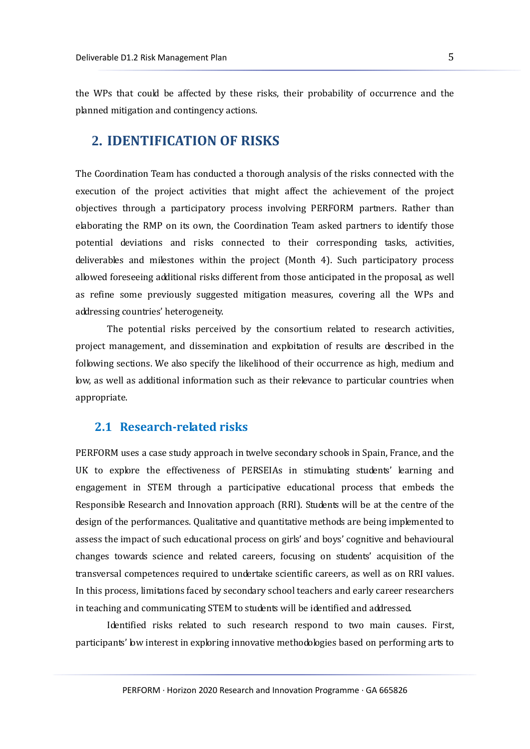the WPs that could be affected by these risks, their probability of occurrence and the planned mitigation and contingency actions.

#### <span id="page-5-0"></span>**2. IDENTIFICATION OF RISKS**

The Coordination Team has conducted a thorough analysis of the risks connected with the execution of the project activities that might affect the achievement of the project objectives through a participatory process involving PERFORM partners. Rather than elaborating the RMP on its own, the Coordination Team asked partners to identify those potential deviations and risks connected to their corresponding tasks, activities, deliverables and milestones within the project (Month 4). Such participatory process allowed foreseeing additional risks different from those anticipated in the proposal, as well as refine some previously suggested mitigation measures, covering all the WPs and addressing countries' heterogeneity.

The potential risks perceived by the consortium related to research activities, project management, and dissemination and exploitation of results are described in the following sections. We also specify the likelihood of their occurrence as high, medium and low, as well as additional information such as their relevance to particular countries when appropriate.

#### <span id="page-5-1"></span>**2.1 Research-related risks**

PERFORM uses a case study approach in twelve secondary schools in Spain, France, and the UK to explore the effectiveness of PERSEIAs in stimulating students' learning and engagement in STEM through a participative educational process that embeds the Responsible Research and Innovation approach (RRI). Students will be at the centre of the design of the performances. Qualitative and quantitative methods are being implemented to assess the impact of such educational process on girls' and boys' cognitive and behavioural changes towards science and related careers, focusing on students' acquisition of the transversal competences required to undertake scientific careers, as well as on RRI values. In this process, limitations faced by secondary school teachers and early career researchers in teaching and communicating STEM to students will be identified and addressed.

Identified risks related to such research respond to two main causes. First, participants' low interest in exploring innovative methodologies based on performing arts to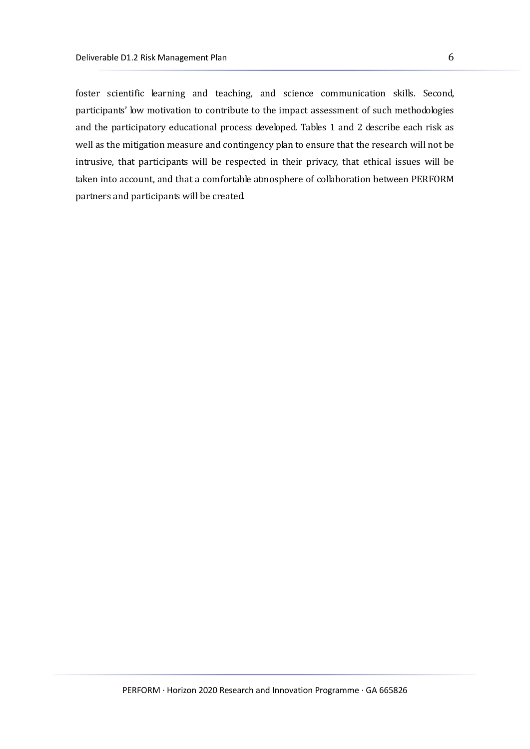foster scientific learning and teaching, and science communication skills. Second, participants' low motivation to contribute to the impact assessment of such methodologies and the participatory educational process developed. Tables 1 and 2 describe each risk as well as the mitigation measure and contingency plan to ensure that the research will not be intrusive, that participants will be respected in their privacy, that ethical issues will be taken into account, and that a comfortable atmosphere of collaboration between PERFORM partners and participants will be created.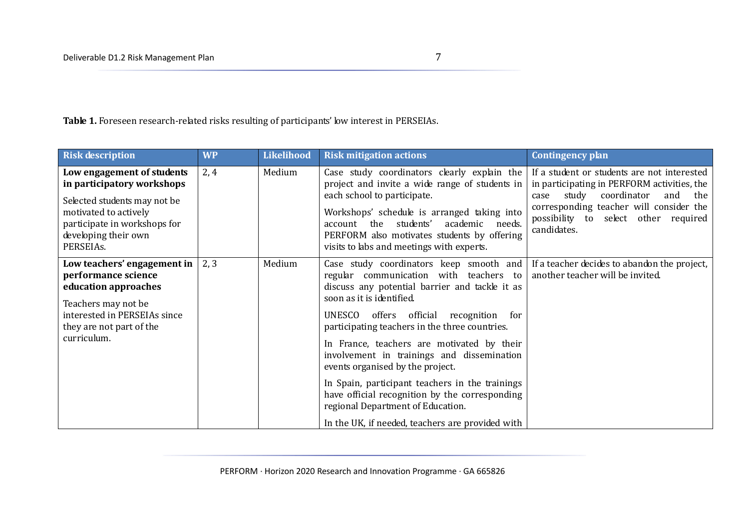Table 1. Foreseen research-related risks resulting of participants' low interest in PERSEIAs.

| <b>Risk description</b>                                                                                                                                                                | <b>WP</b> | Likelihood | <b>Risk mitigation actions</b>                                                                                                                                                                                                                                                                                                                                                                                                                              | Contingency plan                                                                                                                                                                                                                           |
|----------------------------------------------------------------------------------------------------------------------------------------------------------------------------------------|-----------|------------|-------------------------------------------------------------------------------------------------------------------------------------------------------------------------------------------------------------------------------------------------------------------------------------------------------------------------------------------------------------------------------------------------------------------------------------------------------------|--------------------------------------------------------------------------------------------------------------------------------------------------------------------------------------------------------------------------------------------|
| Low engagement of students<br>in participatory workshops<br>Selected students may not be<br>motivated to actively<br>participate in workshops for<br>developing their own<br>PERSEIAs. | 2, 4      | Medium     | Case study coordinators clearly explain the<br>project and invite a wide range of students in<br>each school to participate.<br>Workshops' schedule is arranged taking into<br>students'<br>account the<br>academic<br>needs.<br>PERFORM also motivates students by offering<br>visits to labs and meetings with experts.                                                                                                                                   | If a student or students are not interested<br>in participating in PERFORM activities, the<br>study<br>coordinator<br>and<br>the<br>case<br>corresponding teacher will consider the<br>possibility to select other required<br>candidates. |
| Low teachers' engagement in<br>performance science<br>education approaches<br>Teachers may not be<br>interested in PERSEIAs since<br>they are not part of the<br>curriculum.           | 2, 3      | Medium     | Case study coordinators keep smooth and<br>regular communication with teachers<br>to<br>discuss any potential barrier and tackle it as<br>soon as it is identified.<br>UNESCO<br>offers official<br>recognition<br>for<br>participating teachers in the three countries.<br>In France, teachers are motivated by their<br>involvement in trainings and dissemination<br>events organised by the project.<br>In Spain, participant teachers in the trainings | If a teacher decides to abandon the project,<br>another teacher will be invited.                                                                                                                                                           |
|                                                                                                                                                                                        |           |            | have official recognition by the corresponding<br>regional Department of Education.<br>In the UK, if needed, teachers are provided with                                                                                                                                                                                                                                                                                                                     |                                                                                                                                                                                                                                            |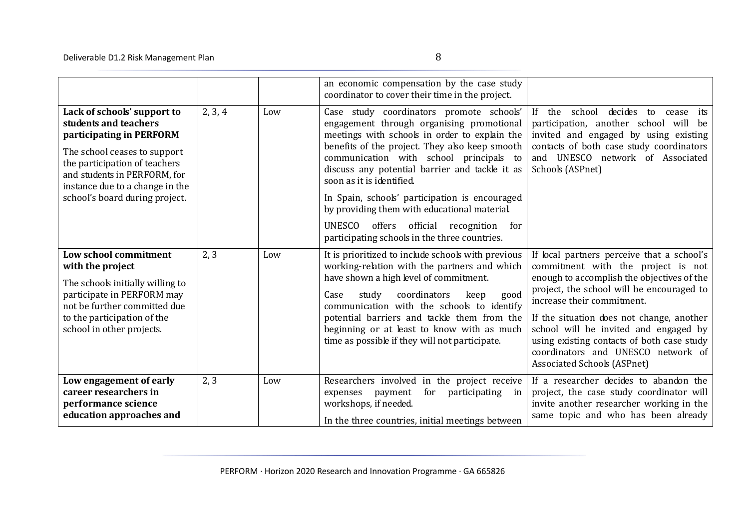|                                                                                                                                                                                                                                                        |         |     | an economic compensation by the case study<br>coordinator to cover their time in the project.                                                                                                                                                                                                                                                                                                                                                                                                                         |                                                                                                                                                                                                                                                                                                                                                                                                                           |
|--------------------------------------------------------------------------------------------------------------------------------------------------------------------------------------------------------------------------------------------------------|---------|-----|-----------------------------------------------------------------------------------------------------------------------------------------------------------------------------------------------------------------------------------------------------------------------------------------------------------------------------------------------------------------------------------------------------------------------------------------------------------------------------------------------------------------------|---------------------------------------------------------------------------------------------------------------------------------------------------------------------------------------------------------------------------------------------------------------------------------------------------------------------------------------------------------------------------------------------------------------------------|
| Lack of schools' support to<br>students and teachers<br>participating in PERFORM<br>The school ceases to support<br>the participation of teachers<br>and students in PERFORM, for<br>instance due to a change in the<br>school's board during project. | 2, 3, 4 | Low | Case study coordinators promote schools'<br>engagement through organising promotional<br>meetings with schools in order to explain the<br>benefits of the project. They also keep smooth<br>communication with school principals to<br>discuss any potential barrier and tackle it as<br>soon as it is identified.<br>In Spain, schools' participation is encouraged<br>by providing them with educational material.<br>UNESCO<br>offers official recognition<br>for<br>participating schools in the three countries. | If<br>school<br>decides<br>the<br>to<br>its<br>cease<br>participation, another school will be<br>invited and engaged by using existing<br>contacts of both case study coordinators<br>and UNESCO network of Associated<br>Schools (ASPnet)                                                                                                                                                                                |
| Low school commitment<br>with the project<br>The schools initially willing to<br>participate in PERFORM may<br>not be further committed due<br>to the participation of the<br>school in other projects.                                                | 2, 3    | Low | It is prioritized to include schools with previous<br>working-relation with the partners and which<br>have shown a high level of commitment.<br>Case<br>coordinators<br>study<br>good<br>keep<br>communication with the schools to identify<br>potential barriers and tackle them from the<br>beginning or at least to know with as much<br>time as possible if they will not participate.                                                                                                                            | If local partners perceive that a school's<br>commitment with the project is not<br>enough to accomplish the objectives of the<br>project, the school will be encouraged to<br>increase their commitment.<br>If the situation does not change, another<br>school will be invited and engaged by<br>using existing contacts of both case study<br>coordinators and UNESCO network of<br><b>Associated Schools (ASPnet)</b> |
| Low engagement of early<br>career researchers in<br>performance science<br>education approaches and                                                                                                                                                    | 2, 3    | Low | Researchers involved in the project receive<br>for<br>participating<br>expenses<br>payment<br>in<br>workshops, if needed.<br>In the three countries, initial meetings between                                                                                                                                                                                                                                                                                                                                         | If a researcher decides to abandon the<br>project, the case study coordinator will<br>invite another researcher working in the<br>same topic and who has been already                                                                                                                                                                                                                                                     |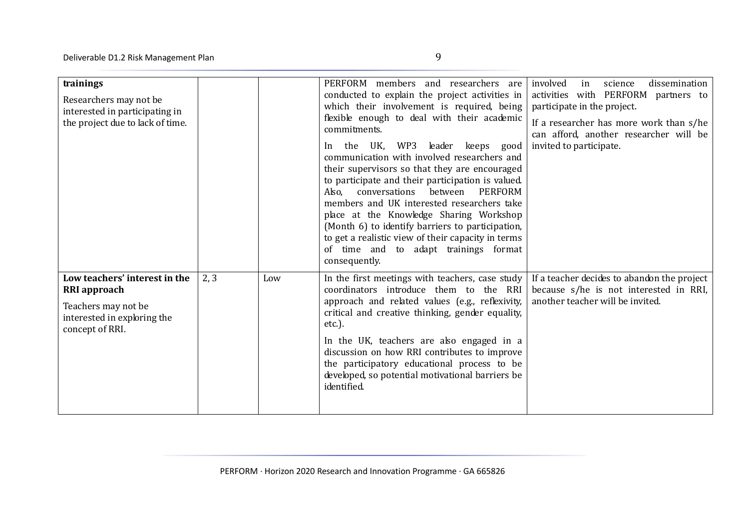| trainings<br>Researchers may not be<br>interested in participating in<br>the project due to lack of time.                     |      |     | PERFORM members<br>and researchers are<br>conducted to explain the project activities in<br>which their involvement is required, being<br>flexible enough to deal with their academic<br>commitments.<br>WP3<br>leader keeps good<br>UK.<br>the<br>In<br>communication with involved researchers and<br>their supervisors so that they are encouraged<br>to participate and their participation is valued.<br>conversations<br>between<br><b>PERFORM</b><br>Also.<br>members and UK interested researchers take<br>place at the Knowledge Sharing Workshop<br>(Month 6) to identify barriers to participation,<br>to get a realistic view of their capacity in terms<br>of time and to adapt trainings format<br>consequently. | involved<br>dissemination<br>in<br>science<br>activities with PERFORM partners to<br>participate in the project.<br>If a researcher has more work than s/he<br>can afford, another researcher will be<br>invited to participate. |
|-------------------------------------------------------------------------------------------------------------------------------|------|-----|--------------------------------------------------------------------------------------------------------------------------------------------------------------------------------------------------------------------------------------------------------------------------------------------------------------------------------------------------------------------------------------------------------------------------------------------------------------------------------------------------------------------------------------------------------------------------------------------------------------------------------------------------------------------------------------------------------------------------------|----------------------------------------------------------------------------------------------------------------------------------------------------------------------------------------------------------------------------------|
| Low teachers' interest in the<br><b>RRI</b> approach<br>Teachers may not be<br>interested in exploring the<br>concept of RRI. | 2, 3 | Low | In the first meetings with teachers, case study<br>coordinators introduce them to the RRI<br>approach and related values (e.g., reflexivity,<br>critical and creative thinking, gender equality,<br>$etc.$ ).<br>In the UK, teachers are also engaged in a<br>discussion on how RRI contributes to improve<br>the participatory educational process to be<br>developed, so potential motivational barriers be                                                                                                                                                                                                                                                                                                                  | If a teacher decides to abandon the project<br>because s/he is not interested in RRI,<br>another teacher will be invited.                                                                                                        |

identified.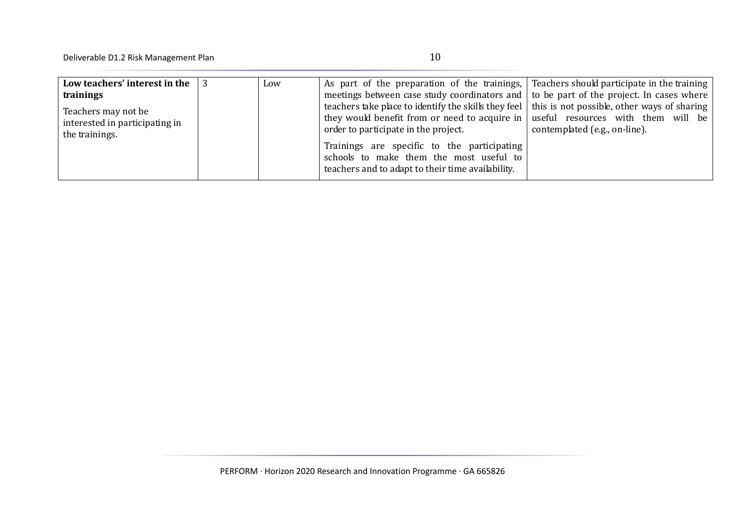| Low teachers' interest in the $\vert$ 3<br>trainings<br>Teachers may not be<br>interested in participating in | Low | As part of the preparation of the trainings, Teachers should participate in the training<br>meetings between case study coordinators and   to be part of the project. In cases where  <br>teachers take place to identify the skills they feel   this is not possible, other ways of sharing  <br>they would benefit from or need to acquire in   useful resources with them will be  <br>order to participate in the project. | contemplated (e.g., on-line). |
|---------------------------------------------------------------------------------------------------------------|-----|--------------------------------------------------------------------------------------------------------------------------------------------------------------------------------------------------------------------------------------------------------------------------------------------------------------------------------------------------------------------------------------------------------------------------------|-------------------------------|
| the trainings.                                                                                                |     | Trainings are specific to the participating<br>schools to make them the most useful to<br>teachers and to adapt to their time availability.                                                                                                                                                                                                                                                                                    |                               |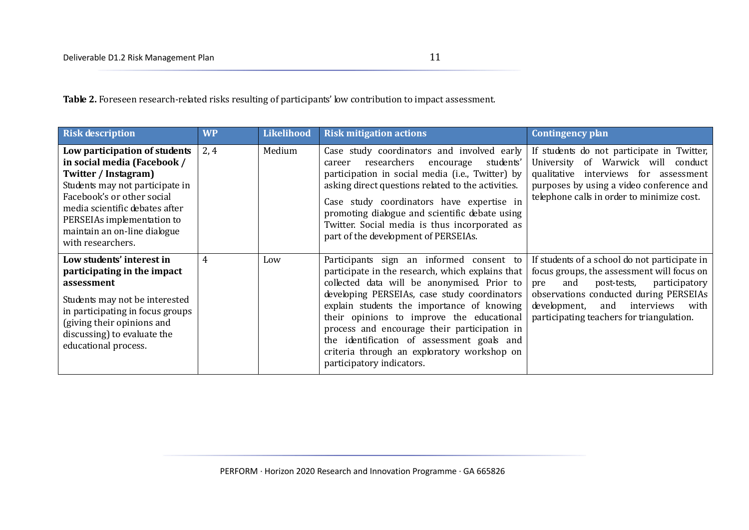Table 2. Foreseen research-related risks resulting of participants' low contribution to impact assessment.

| <b>Risk description</b>                                                                                                                                                                                                                                                    | <b>WP</b>      | Likelihood | <b>Risk mitigation actions</b>                                                                                                                                                                                                                                                                                                                                                                                                                                   | <b>Contingency plan</b>                                                                                                                                                                                                                                                       |
|----------------------------------------------------------------------------------------------------------------------------------------------------------------------------------------------------------------------------------------------------------------------------|----------------|------------|------------------------------------------------------------------------------------------------------------------------------------------------------------------------------------------------------------------------------------------------------------------------------------------------------------------------------------------------------------------------------------------------------------------------------------------------------------------|-------------------------------------------------------------------------------------------------------------------------------------------------------------------------------------------------------------------------------------------------------------------------------|
| Low participation of students<br>in social media (Facebook /<br>Twitter / Instagram)<br>Students may not participate in<br>Facebook's or other social<br>media scientific debates after<br>PERSEIAs implementation to<br>maintain an on-line dialogue<br>with researchers. | 2, 4           | Medium     | Case study coordinators and involved early<br>researchers<br>students'<br>encourage<br>career<br>participation in social media (i.e., Twitter) by<br>asking direct questions related to the activities.<br>Case study coordinators have expertise in<br>promoting dialogue and scientific debate using<br>Twitter. Social media is thus incorporated as<br>part of the development of PERSEIAs.                                                                  | If students do not participate in Twitter,<br>University of Warwick will conduct<br>qualitative interviews for assessment<br>purposes by using a video conference and<br>telephone calls in order to minimize cost.                                                           |
| Low students' interest in<br>participating in the impact<br>assessment<br>Students may not be interested<br>in participating in focus groups<br>(giving their opinions and<br>discussing) to evaluate the<br>educational process.                                          | $\overline{4}$ | Low        | Participants sign an informed consent to<br>participate in the research, which explains that<br>collected data will be anonymised. Prior to<br>developing PERSEIAs, case study coordinators<br>explain students the importance of knowing<br>their opinions to improve the educational<br>process and encourage their participation in<br>the identification of assessment goals and<br>criteria through an exploratory workshop on<br>participatory indicators. | If students of a school do not participate in<br>focus groups, the assessment will focus on<br>and<br>participatory<br>post-tests,<br>pre<br>observations conducted during PERSEIAs<br>development,<br>interviews<br>and<br>with<br>participating teachers for triangulation. |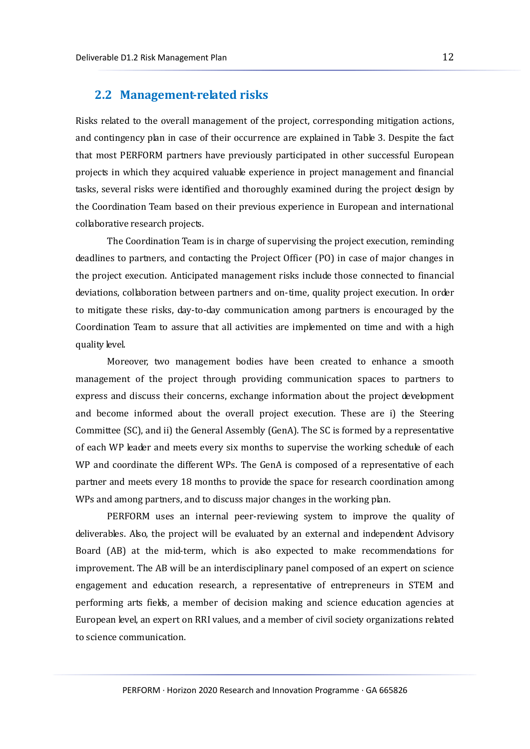#### <span id="page-12-0"></span>**2.2 Management-related risks**

Risks related to the overall management of the project, corresponding mitigation actions, and contingency plan in case of their occurrence are explained in Table 3. Despite the fact that most PERFORM partners have previously participated in other successful European projects in which they acquired valuable experience in project management and financial tasks, several risks were identified and thoroughly examined during the project design by the Coordination Team based on their previous experience in European and international collaborative research projects.

The Coordination Team is in charge of supervising the project execution, reminding deadlines to partners, and contacting the Project Officer (PO) in case of major changes in the project execution. Anticipated management risks include those connected to financial deviations, collaboration between partners and on-time, quality project execution. In order to mitigate these risks, day-to-day communication among partners is encouraged by the Coordination Team to assure that all activities are implemented on time and with a high quality level.

Moreover, two management bodies have been created to enhance a smooth management of the project through providing communication spaces to partners to express and discuss their concerns, exchange information about the project development and become informed about the overall project execution. These are i) the Steering Committee (SC), and ii) the General Assembly (GenA). The SC is formed by a representative of each WP leader and meets every six months to supervise the working schedule of each WP and coordinate the different WPs. The GenA is composed of a representative of each partner and meets every 18 months to provide the space for research coordination among WPs and among partners, and to discuss major changes in the working plan.

PERFORM uses an internal peer-reviewing system to improve the quality of deliverables. Also, the project will be evaluated by an external and independent Advisory Board (AB) at the mid-term, which is also expected to make recommendations for improvement. The AB will be an interdisciplinary panel composed of an expert on science engagement and education research, a representative of entrepreneurs in STEM and performing arts fields, a member of decision making and science education agencies at European level, an expert on RRI values, and a member of civil society organizations related to science communication.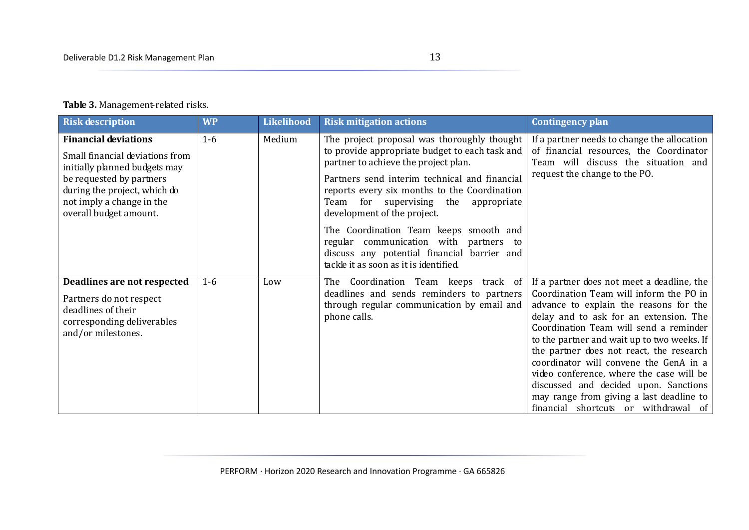#### **Table 3.** Management-related risks.

| <b>Risk description</b>                                                                                                                                                                                            | <b>WP</b> | Likelihood | <b>Risk mitigation actions</b>                                                                                                                                                                                                                                                                                   | Contingency plan                                                                                                                                                                                                                                                                                                                                                                                                                                                                                                                  |
|--------------------------------------------------------------------------------------------------------------------------------------------------------------------------------------------------------------------|-----------|------------|------------------------------------------------------------------------------------------------------------------------------------------------------------------------------------------------------------------------------------------------------------------------------------------------------------------|-----------------------------------------------------------------------------------------------------------------------------------------------------------------------------------------------------------------------------------------------------------------------------------------------------------------------------------------------------------------------------------------------------------------------------------------------------------------------------------------------------------------------------------|
| <b>Financial deviations</b><br>Small financial deviations from<br>initially planned budgets may<br>be requested by partners<br>during the project, which do<br>not imply a change in the<br>overall budget amount. | $1-6$     | Medium     | The project proposal was thoroughly thought<br>to provide appropriate budget to each task and<br>partner to achieve the project plan.<br>Partners send interim technical and financial<br>reports every six months to the Coordination<br>Team for supervising the<br>appropriate<br>development of the project. | If a partner needs to change the allocation<br>of financial resources, the Coordinator<br>Team will discuss the situation and<br>request the change to the PO.                                                                                                                                                                                                                                                                                                                                                                    |
|                                                                                                                                                                                                                    |           |            | The Coordination Team keeps smooth and<br>regular communication with partners to<br>discuss any potential financial barrier and<br>tackle it as soon as it is identified.                                                                                                                                        |                                                                                                                                                                                                                                                                                                                                                                                                                                                                                                                                   |
| Deadlines are not respected<br>Partners do not respect<br>deadlines of their<br>corresponding deliverables<br>and/or milestones.                                                                                   | $1-6$     | Low        | The Coordination Team keeps track of<br>deadlines and sends reminders to partners<br>through regular communication by email and<br>phone calls.                                                                                                                                                                  | If a partner does not meet a deadline, the<br>Coordination Team will inform the PO in<br>advance to explain the reasons for the<br>delay and to ask for an extension. The<br>Coordination Team will send a reminder<br>to the partner and wait up to two weeks. If<br>the partner does not react, the research<br>coordinator will convene the GenA in a<br>video conference, where the case will be<br>discussed and decided upon. Sanctions<br>may range from giving a last deadline to<br>financial shortcuts or withdrawal of |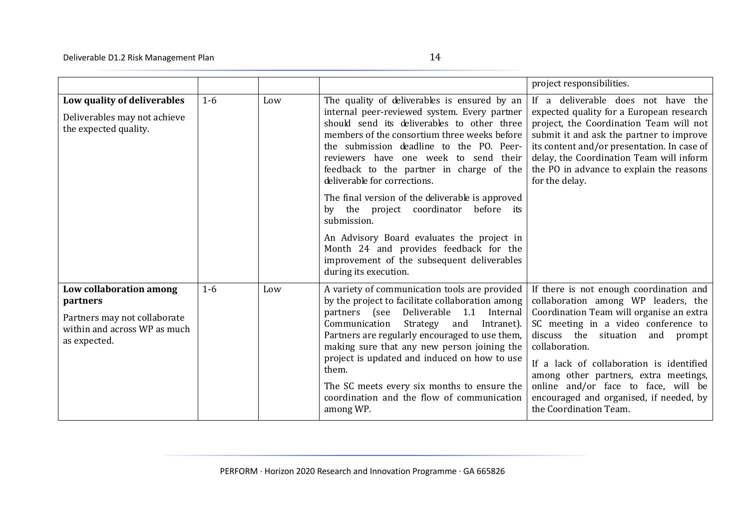|                                                                                                                     |       |     |                                                                                                                                                                                                                                                                                                                                                                                                                                                                                                                              | project responsibilities.                                                                                                                                                                                                                                                                                                                                                                                                         |
|---------------------------------------------------------------------------------------------------------------------|-------|-----|------------------------------------------------------------------------------------------------------------------------------------------------------------------------------------------------------------------------------------------------------------------------------------------------------------------------------------------------------------------------------------------------------------------------------------------------------------------------------------------------------------------------------|-----------------------------------------------------------------------------------------------------------------------------------------------------------------------------------------------------------------------------------------------------------------------------------------------------------------------------------------------------------------------------------------------------------------------------------|
| Low quality of deliverables<br>Deliverables may not achieve<br>the expected quality.                                | $1-6$ | Low | The quality of deliverables is ensured by an<br>internal peer-reviewed system. Every partner<br>should send its deliverables to other three<br>members of the consortium three weeks before<br>the submission deadline to the PO. Peer-<br>reviewers have one week to send their<br>feedback to the partner in charge of the<br>deliverable for corrections.<br>The final version of the deliverable is approved<br>the project coordinator<br>before its<br>bv<br>submission.<br>An Advisory Board evaluates the project in | If a deliverable does not have the<br>expected quality for a European research<br>project, the Coordination Team will not<br>submit it and ask the partner to improve<br>its content and/or presentation. In case of<br>delay, the Coordination Team will inform<br>the PO in advance to explain the reasons<br>for the delay.                                                                                                    |
|                                                                                                                     |       |     | Month 24 and provides feedback for the<br>improvement of the subsequent deliverables<br>during its execution.                                                                                                                                                                                                                                                                                                                                                                                                                |                                                                                                                                                                                                                                                                                                                                                                                                                                   |
| Low collaboration among<br>partners<br>Partners may not collaborate<br>within and across WP as much<br>as expected. | $1-6$ | Low | A variety of communication tools are provided<br>by the project to facilitate collaboration among<br>partners (see Deliverable 1.1 Internal<br>Communication<br>Strategy<br>and<br>Intranet).<br>Partners are regularly encouraged to use them,<br>making sure that any new person joining the<br>project is updated and induced on how to use<br>them.<br>The SC meets every six months to ensure the<br>coordination and the flow of communication<br>among WP.                                                            | If there is not enough coordination and<br>collaboration among WP leaders, the<br>Coordination Team will organise an extra<br>SC meeting in a video conference to<br>discuss the<br>situation<br>and<br>prompt<br>collaboration.<br>If a lack of collaboration is identified<br>among other partners, extra meetings,<br>online and/or face to face, will be<br>encouraged and organised, if needed, by<br>the Coordination Team. |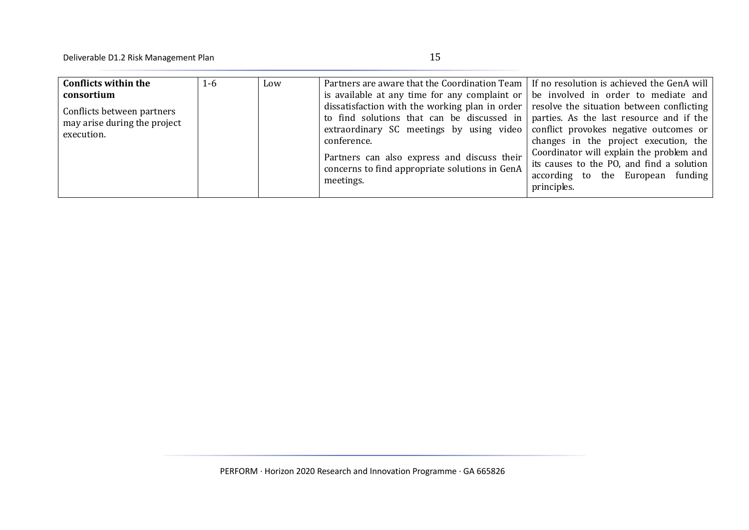| <b>Conflicts within the</b>                                                            | $1-6$ | Low | Partners are aware that the Coordination Team   If no resolution is achieved the GenA will                                                                                                                                                                                                                                                                                                                                                                |                                                                                                                                |
|----------------------------------------------------------------------------------------|-------|-----|-----------------------------------------------------------------------------------------------------------------------------------------------------------------------------------------------------------------------------------------------------------------------------------------------------------------------------------------------------------------------------------------------------------------------------------------------------------|--------------------------------------------------------------------------------------------------------------------------------|
| consortium<br>Conflicts between partners<br>may arise during the project<br>execution. |       |     | is available at any time for any complaint or $\vert$ be involved in order to mediate and<br>dissatisfaction with the working plan in order $\vert$ resolve the situation between conflicting $\vert$<br>to find solutions that can be discussed in $ $ parties. As the last resource and if the<br>extraordinary SC meetings by using video $\vert$ conflict provokes negative outcomes or<br>conference.<br>Partners can also express and discuss their | changes in the project execution, the<br>Coordinator will explain the problem and<br>its causes to the PO, and find a solution |
|                                                                                        |       |     | concerns to find appropriate solutions in GenA<br>meetings.                                                                                                                                                                                                                                                                                                                                                                                               | according to the European funding<br>principles.                                                                               |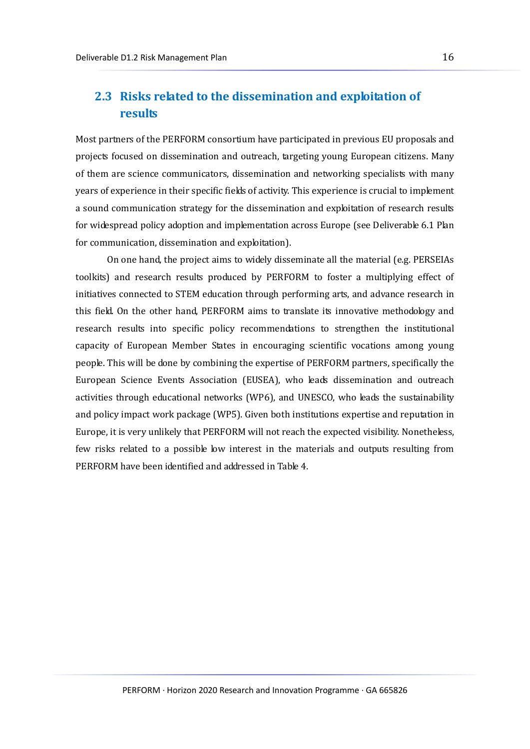### <span id="page-16-0"></span>**2.3 Risks related to the dissemination and exploitation of results**

Most partners of the PERFORM consortium have participated in previous EU proposals and projects focused on dissemination and outreach, targeting young European citizens. Many of them are science communicators, dissemination and networking specialists with many years of experience in their specific fields of activity. This experience is crucial to implement a sound communication strategy for the dissemination and exploitation of research results for widespread policy adoption and implementation across Europe (see Deliverable 6.1 Plan for communication, dissemination and exploitation).

On one hand, the project aims to widely disseminate all the material (e.g. PERSEIAs toolkits) and research results produced by PERFORM to foster a multiplying effect of initiatives connected to STEM education through performing arts, and advance research in this field. On the other hand, PERFORM aims to translate its innovative methodology and research results into specific policy recommendations to strengthen the institutional capacity of European Member States in encouraging scientific vocations among young people. This will be done by combining the expertise of PERFORM partners, specifically the European Science Events Association (EUSEA), who leads dissemination and outreach activities through educational networks (WP6), and UNESCO, who leads the sustainability and policy impact work package (WP5). Given both institutions expertise and reputation in Europe, it is very unlikely that PERFORM will not reach the expected visibility. Nonetheless, few risks related to a possible low interest in the materials and outputs resulting from PERFORM have been identified and addressed in Table 4.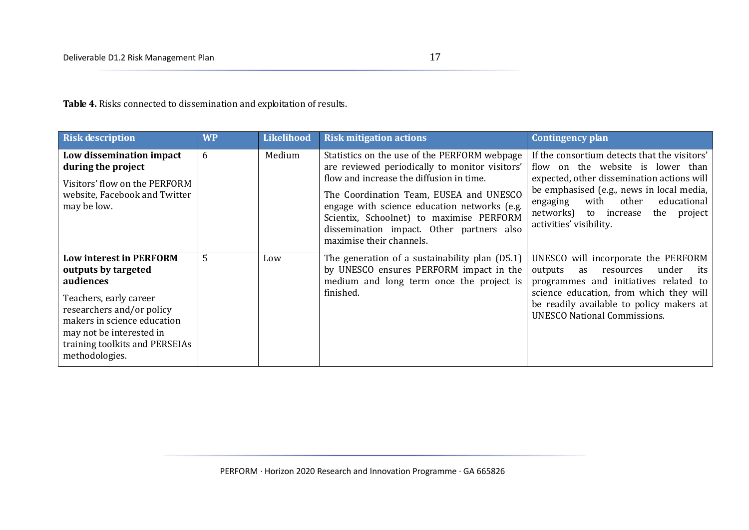**Table 4.** Risks connected to dissemination and exploitation of results.

| <b>Risk description</b>                                                                                                                                                                                                                  | <b>WP</b> | <b>Likelihood</b> | <b>Risk mitigation actions</b>                                                                                                                                                                                                                                                                                                                             | Contingency plan                                                                                                                                                                                                                                                                            |
|------------------------------------------------------------------------------------------------------------------------------------------------------------------------------------------------------------------------------------------|-----------|-------------------|------------------------------------------------------------------------------------------------------------------------------------------------------------------------------------------------------------------------------------------------------------------------------------------------------------------------------------------------------------|---------------------------------------------------------------------------------------------------------------------------------------------------------------------------------------------------------------------------------------------------------------------------------------------|
| Low dissemination impact<br>during the project<br>Visitors' flow on the PERFORM<br>website, Facebook and Twitter<br>may be low.                                                                                                          | 6         | Medium            | Statistics on the use of the PERFORM webpage<br>are reviewed periodically to monitor visitors'<br>flow and increase the diffusion in time.<br>The Coordination Team, EUSEA and UNESCO<br>engage with science education networks (e.g.<br>Scientix, Schoolnet) to maximise PERFORM<br>dissemination impact. Other partners also<br>maximise their channels. | If the consortium detects that the visitors'<br>flow on the website is lower than<br>expected, other dissemination actions will<br>be emphasised (e.g., news in local media,<br>with<br>educational<br>other<br>engaging<br>networks) to increase<br>the project<br>activities' visibility. |
| <b>Low interest in PERFORM</b><br>outputs by targeted<br>audiences<br>Teachers, early career<br>researchers and/or policy<br>makers in science education<br>may not be interested in<br>training toolkits and PERSEIAs<br>methodologies. | 5         | Low               | The generation of a sustainability plan (D5.1)<br>by UNESCO ensures PERFORM impact in the<br>medium and long term once the project is<br>finished.                                                                                                                                                                                                         | UNESCO will incorporate the PERFORM<br>under<br>outputs<br>resources<br>its<br>as<br>programmes and initiatives related to<br>science education, from which they will<br>be readily available to policy makers at<br><b>UNESCO National Commissions.</b>                                    |

PERFORM · Horizon 2020 Research and Innovation Programme · GA 665826